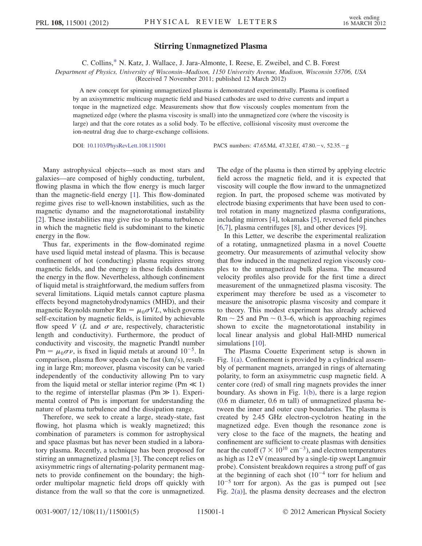## Stirring Unmagnetized Plasma

C. Collins,[\\*](#page-3-0) N. Katz, J. Wallace, J. Jara-Almonte, I. Reese, E. Zweibel, and C. B. Forest

<span id="page-0-0"></span>Department of Physics, University of Wisconsin–Madison, 1150 University Avenue, Madison, Wisconsin 53706, USA

(Received 7 November 2011; published 12 March 2012)

A new concept for spinning unmagnetized plasma is demonstrated experimentally. Plasma is confined by an axisymmetric multicusp magnetic field and biased cathodes are used to drive currents and impart a torque in the magnetized edge. Measurements show that flow viscously couples momentum from the magnetized edge (where the plasma viscosity is small) into the unmagnetized core (where the viscosity is large) and that the core rotates as a solid body. To be effective, collisional viscosity must overcome the ion-neutral drag due to charge-exchange collisions.

DOI: [10.1103/PhysRevLett.108.115001](http://dx.doi.org/10.1103/PhysRevLett.108.115001) PACS numbers: 47.65.Md, 47.32.Ef, 47.80.-v, 52.35.-g

Many astrophysical objects—such as most stars and galaxies—are composed of highly conducting, turbulent, flowing plasma in which the flow energy is much larger than the magnetic-field energy [\[1\]](#page-3-1). This flow-dominated regime gives rise to well-known instabilities, such as the magnetic dynamo and the magnetorotational instability [\[2\]](#page-3-2). These instabilities may give rise to plasma turbulence in which the magnetic field is subdominant to the kinetic energy in the flow.

Thus far, experiments in the flow-dominated regime have used liquid metal instead of plasma. This is because confinement of hot (conducting) plasma requires strong magnetic fields, and the energy in these fields dominates the energy in the flow. Nevertheless, although confinement of liquid metal is straightforward, the medium suffers from several limitations. Liquid metals cannot capture plasma effects beyond magnetohydrodynamics (MHD), and their magnetic Reynolds number Rm =  $\mu_0 \sigma V L$ , which governs self-excitation by magnetic fields, is limited by achievable flow speed V  $(L$  and  $\sigma$  are, respectively, characteristic length and conductivity). Furthermore, the product of conductivity and viscosity, the magnetic Prandtl number  $\text{Pm} = \mu_0 \sigma \nu$ , is fixed in liquid metals at around  $10^{-5}$ . In comparison, plasma flow speeds can be fast (km/s), resulting in large Rm; moreover, plasma viscosity can be varied independently of the conductivity allowing Pm to vary from the liquid metal or stellar interior regime ( $Pm \ll 1$ ) to the regime of interstellar plasmas (Pm  $\gg$  1). Experimental control of Pm is important for understanding the nature of plasma turbulence and the dissipation range.

Therefore, we seek to create a large, steady-state, fast flowing, hot plasma which is weakly magnetized; this combination of parameters is common for astrophysical and space plasmas but has never been studied in a laboratory plasma. Recently, a technique has been proposed for stirring an unmagnetized plasma [[3](#page-3-3)]. The concept relies on axisymmetric rings of alternating-polarity permanent magnets to provide confinement on the boundary; the highorder multipolar magnetic field drops off quickly with distance from the wall so that the core is unmagnetized.

The edge of the plasma is then stirred by applying electric field across the magnetic field, and it is expected that viscosity will couple the flow inward to the unmagnetized region. In part, the proposed scheme was motivated by electrode biasing experiments that have been used to control rotation in many magnetized plasma configurations, including mirrors [\[4\]](#page-3-4), tokamaks [[5](#page-3-5)], reversed field pinches [\[6,](#page-3-6)[7](#page-3-7)], plasma centrifuges [[8\]](#page-3-8), and other devices [\[9\]](#page-3-9).

In this Letter, we describe the experimental realization of a rotating, unmagnetized plasma in a novel Couette geometry. Our measurements of azimuthal velocity show that flow induced in the magnetized region viscously couples to the unmagnetized bulk plasma. The measured velocity profiles also provide for the first time a direct measurement of the unmagnetized plasma viscosity. The experiment may therefore be used as a viscometer to measure the anisotropic plasma viscosity and compare it to theory. This modest experiment has already achieved  $Rm \sim 25$  and Pm  $\sim 0.3$ –6, which is approaching regimes shown to excite the magnetorotational instability in local linear analysis and global Hall-MHD numerical simulations [[10](#page-4-0)].

The Plasma Couette Experiment setup is shown in Fig. [1\(a\)](#page-1-0). Confinement is provided by a cylindrical assembly of permanent magnets, arranged in rings of alternating polarity, to form an axisymmetric cusp magnetic field. A center core (red) of small ring magnets provides the inner boundary. As shown in Fig. [1\(b\)](#page-1-0), there is a large region (0.6 m diameter, 0.6 m tall) of unmagnetized plasma between the inner and outer cusp boundaries. The plasma is created by 2.45 GHz electron-cyclotron heating in the magnetized edge. Even though the resonance zone is very close to the face of the magnets, the heating and confinement are sufficient to create plasmas with densities near the cutoff ( $7 \times 10^{10}$  cm<sup>-3</sup>), and electron temperatures as high as 12 eV (measured by a single-tip swept Langmuir probe). Consistent breakdown requires a strong puff of gas at the beginning of each shot  $(10^{-4}$  torr for helium and  $10^{-5}$  torr for argon). As the gas is pumped out [see Fig. [2\(a\)](#page-1-1)], the plasma density decreases and the electron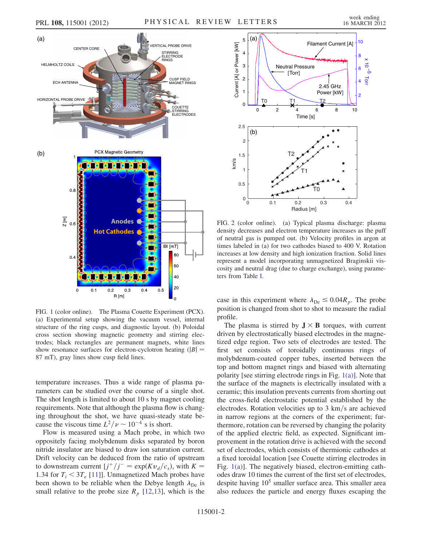

<span id="page-1-0"></span>FIG. 1 (color online). The Plasma Couette Experiment (PCX). (a) Experimental setup showing the vacuum vessel, internal structure of the ring cusps, and diagnostic layout. (b) Poloidal cross section showing magnetic geometry and stirring electrodes; black rectangles are permanent magnets, white lines show resonance surfaces for electron-cyclotron heating  $(|B| =$ 87 mT), gray lines show cusp field lines.

temperature increases. Thus a wide range of plasma parameters can be studied over the course of a single shot. The shot length is limited to about 10 s by magnet cooling requirements. Note that although the plasma flow is changing throughout the shot, we have quasi-steady state because the viscous time  $L^2/\nu \sim 10^{-4}$  s is short.

Flow is measured using a Mach probe, in which two oppositely facing molybdenum disks separated by boron nitride insulator are biased to draw ion saturation current. Drift velocity can be deduced from the ratio of upstream to downstream current  $[j^*/j^- = \exp(Kv_d/c_s)$ , with  $K =$ 1.34 for  $T_i < 3T_e$  [[11](#page-4-1)]]. Unmagnetized Mach probes have been shown to be reliable when the Debye length  $\lambda_{\text{De}}$  is small relative to the probe size  $R_p$  [\[12,](#page-4-2)[13\]](#page-4-3), which is the

<span id="page-1-2"></span>

<span id="page-1-1"></span>FIG. 2 (color online). (a) Typical plasma discharge: plasma density decreases and electron temperature increases as the puff of neutral gas is pumped out. (b) Velocity profiles in argon at times labeled in (a) for two cathodes biased to 400 V. Rotation increases at low density and high ionization fraction. Solid lines represent a model incorporating unmagnetized Braginskii viscosity and neutral drag (due to charge exchange), using parameters from Table [I](#page-2-0).

case in this experiment where  $\lambda_{\text{De}} \leq 0.04R_p$ . The probe position is changed from shot to shot to measure the radial profile.

The plasma is stirred by  $J \times B$  torques, with current driven by electrostatically biased electrodes in the magnetized edge region. Two sets of electrodes are tested. The first set consists of toroidally continuous rings of molybdenum-coated copper tubes, inserted between the top and bottom magnet rings and biased with alternating polarity [see stirring electrode rings in Fig. [1\(a\)\]](#page-1-0). Note that the surface of the magnets is electrically insulated with a ceramic; this insulation prevents currents from shorting out the cross-field electrostatic potential established by the electrodes. Rotation velocities up to  $3 \text{ km/s}$  are achieved in narrow regions at the corners of the experiment; furthermore, rotation can be reversed by changing the polarity of the applied electric field, as expected. Significant improvement in the rotation drive is achieved with the second set of electrodes, which consists of thermionic cathodes at a fixed toroidal location [see Couette stirring electrodes in Fig. [1\(a\)](#page-1-0)]. The negatively biased, electron-emitting cathodes draw 10 times the current of the first set of electrodes, despite having  $10<sup>5</sup>$  smaller surface area. This smaller area also reduces the particle and energy fluxes escaping the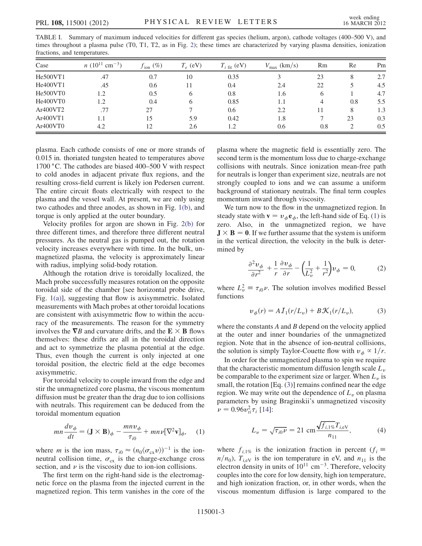<span id="page-2-0"></span>TABLE I. Summary of maximum induced velocities for different gas species (helium, argon), cathode voltages (400–500 V), and times throughout a plasma pulse (T0, T1, T2, as in Fig. [2](#page-1-2)); these times are characterized by varying plasma densities, ionization fractions, and temperatures.

| Case                              | $n(10^{11}$<br>$\text{cm}^{-3}$ ) | $f_{\text{ion}}(\%)$ | $T_e$ (eV) | $T_{i \text{ fit}}$ (eV) | $V_{\text{max}}$ (km/s) | Rm  | Re            | Pm  |
|-----------------------------------|-----------------------------------|----------------------|------------|--------------------------|-------------------------|-----|---------------|-----|
| He500VT1                          | .47                               | 0.7                  | 10         | 0.35                     | 3                       | 23  | 8             | 2.7 |
| He400VT1                          | .45                               | 0.6                  |            | 0.4                      | 2.4                     | 22  |               | 4.5 |
| He500VT0                          | 1.2                               | 0.5                  | h          | 0.8                      | 1.6                     | 6   |               | 4.7 |
| He400VT0                          | 1.2                               | 0.4                  | h          | 0.85                     | 1.1                     | 4   | 0.8           | 5.5 |
| Ar400VT2                          | .77                               | 27                   |            | 0.6                      | 2.2                     |     | 8             | 1.3 |
| Ar400VT1                          | 1.1                               | 15                   | 5.9        | 0.42                     | 1.8                     |     | 23            | 0.3 |
| Ar <sub>400</sub> VT <sub>0</sub> | 4.2                               | 12                   | 2.6        | 1.2                      | 0.6                     | 0.8 | $\mathcal{D}$ | 0.5 |

plasma. Each cathode consists of one or more strands of 0:015 in: thoriated tungsten heated to temperatures above 1700 °C. The cathodes are biased 400–500 V with respect to cold anodes in adjacent private flux regions, and the resulting cross-field current is likely ion Pedersen current. The entire circuit floats electrically with respect to the plasma and the vessel wall. At present, we are only using two cathodes and three anodes, as shown in Fig. [1\(b\)](#page-1-0), and torque is only applied at the outer boundary.

Velocity profiles for argon are shown in Fig. [2\(b\)](#page-1-1) for three different times, and therefore three different neutral pressures. As the neutral gas is pumped out, the rotation velocity increases everywhere with time. In the bulk, unmagnetized plasma, the velocity is approximately linear with radius, implying solid-body rotation.

Although the rotation drive is toroidally localized, the Mach probe successfully measures rotation on the opposite toroidal side of the chamber [see horizontal probe drive, Fig. [1\(a\)](#page-1-0)], suggesting that flow is axisymmetric. Isolated measurements with Mach probes at other toroidal locations are consistent with axisymmetric flow to within the accuracy of the measurements. The reason for the symmetry involves the  $\nabla B$  and curvature drifts, and the  $E \times B$  flows themselves: these drifts are all in the toroidal direction and act to symmetrize the plasma potential at the edge. Thus, even though the current is only injected at one toroidal position, the electric field at the edge becomes axisymmetric.

For toroidal velocity to couple inward from the edge and stir the unmagnetized core plasma, the viscous momentum diffusion must be greater than the drag due to ion collisions with neutrals. This requirement can be deduced from the toroidal momentum equation

<span id="page-2-1"></span>
$$
mn\frac{dv_{\phi}}{dt} = (\mathbf{J} \times \mathbf{B})_{\phi} - \frac{mnv_{\phi}}{\tau_{i0}} + mn\nu[\nabla^2 \mathbf{v}]_{\phi}, \quad (1)
$$

where *m* is the ion mass,  $\tau_{i0} \approx (n_0 \langle \sigma_{cx} v \rangle)^{-1}$  is the ionneutral collision time,  $\sigma_{\rm cx}$  is the charge-exchange cross section, and  $\nu$  is the viscosity due to ion-ion collisions.

The first term on the right-hand side is the electromagnetic force on the plasma from the injected current in the magnetized region. This term vanishes in the core of the plasma where the magnetic field is essentially zero. The second term is the momentum loss due to charge-exchange collisions with neutrals. Since ionization mean-free path for neutrals is longer than experiment size, neutrals are not strongly coupled to ions and we can assume a uniform background of stationary neutrals. The final term couples momentum inward through viscosity.

We turn now to the flow in the unmagnetized region. In steady state with  $\mathbf{v} = v_{\phi} \mathbf{e}_{\phi}$ , the left-hand side of Eq. ([1](#page-2-1)) is zero. Also, in the unmagnetized region, we have  $J \times B = 0$ . If we further assume that the system is uniform in the vertical direction, the velocity in the bulk is determined by

$$
\frac{\partial^2 v_{\phi}}{\partial r^2} + \frac{1}{r} \frac{\partial v_{\phi}}{\partial r} - \left(\frac{1}{L_v^2} + \frac{1}{r^2}\right) v_{\phi} = 0, \quad (2)
$$

<span id="page-2-2"></span>where  $L_v^2 \equiv \tau_{i0} \nu$ . The solution involves modified Bessel functions

$$
\upsilon_{\phi}(r) = A I_1(r/L_v) + B \mathcal{K}_1(r/L_v), \tag{3}
$$

where the constants  $A$  and  $B$  depend on the velocity applied at the outer and inner boundaries of the unmagnetized region. Note that in the absence of ion-neutral collisions, the solution is simply Taylor-Couette flow with  $v_{\phi} \propto 1/r$ .

In order for the unmagnetized plasma to spin we require that the characteristic momentum diffusion length scale  $L<sub>v</sub>$ be comparable to the experiment size or larger. When  $L<sub>v</sub>$  is small, the rotation [Eq. [\(3\)](#page-2-2)] remains confined near the edge region. We may write out the dependence of  $L<sub>v</sub>$  on plasma parameters by using Braginskii's unmagnetized viscosity  $\nu = 0.96v_{ti}^2 \tau_i$  [\[14](#page-4-4)]:

$$
L_v = \sqrt{\tau_{i0}\nu} = 21 \text{ cm} \frac{\sqrt{f_{i,1\%}}T_{i,\text{eV}}}{n_{11}},\tag{4}
$$

where  $f_{i,1\%}$  is the ionization fraction in percent  $(f_i \equiv$  $n/n_0$ ,  $T_{i,eV}$  is the ion temperature in eV, and  $n_{11}$  is the electron density in units of  $10^{11}$  cm<sup>-3</sup>. Therefore, velocity couples into the core for low density, high ion temperature, and high ionization fraction, or, in other words, when the viscous momentum diffusion is large compared to the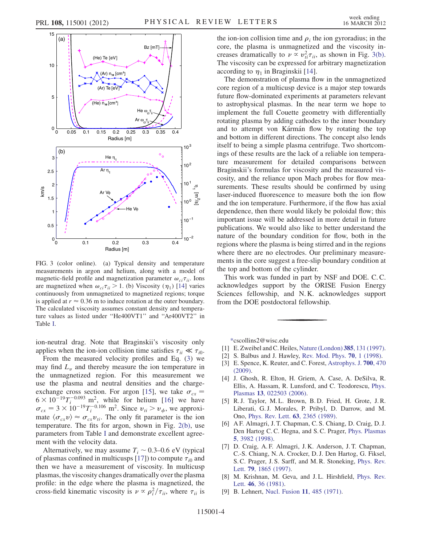



<span id="page-3-10"></span>FIG. 3 (color online). (a) Typical density and temperature measurements in argon and helium, along with a model of magnetic-field profile and magnetization parameter  $\omega_{ci}\tau_{ii}$ . Ions are magnetized when  $\omega_{ci}\tau_{ii} > 1$ . (b) Viscosity ( $\eta_1$ ) [[14](#page-4-4)] varies continuously from unmagnetized to magnetized regions; torque is applied at  $r \approx 0.36$  m to induce rotation at the outer boundary. The calculated viscosity assumes constant density and temperature values as listed under ''He400VT1'' and ''Ar400VT2'' in Table [I](#page-2-0).

ion-neutral drag. Note that Braginskii's viscosity only applies when the ion-ion collision time satisfies  $\tau_{ii} \ll \tau_{i0}$ .

From the measured velocity profiles and Eq. [\(3](#page-2-2)) we may find  $L<sub>v</sub>$  and thereby measure the ion temperature in the unmagnetized region. For this measurement we use the plasma and neutral densities and the charge-exchange cross section. For argon [\[15\]](#page-4-5), we take  $\sigma_{cx} =$  $6 \times 10^{-19} T_i^{-0.093}$  m<sup>2</sup>, while for helium [[16](#page-4-6)] we have  $\sigma_{cx} = 3 \times 10^{-19} T_i^{-0.106} \text{ m}^2$ . Since  $v_{ti} > v_{\phi}$ , we approximate  $\langle \sigma_{cx} v \rangle \approx \sigma_{cx} v_{ti}$ . The only fit parameter is the ion temperature. The fits for argon, shown in Fig. [2\(b\)](#page-1-1), use parameters from Table [I](#page-2-0) and demonstrate excellent agreement with the velocity data.

Alternatively, we may assume  $T_i \sim 0.3{\text -}0.6 \text{ eV}$  (typical of plasmas confined in multicusps [\[17](#page-4-7)]) to compute  $\tau_{i0}$  and then we have a measurement of viscosity. In multicusp plasmas, the viscosity changes dramatically over the plasma profile: in the edge where the plasma is magnetized, the cross-field kinematic viscosity is  $\nu \propto \rho_i^2 / \tau_{ii}$ , where  $\tau_{ii}$  is the ion-ion collision time and  $\rho_i$  the ion gyroradius; in the core, the plasma is unmagnetized and the viscosity increases dramatically to  $\nu \propto v_{ti}^2 \tau_{ii}$ , as shown in Fig. [3\(b\)](#page-3-10). The viscosity can be expressed for arbitrary magnetization according to  $\eta_1$  in Braginskii [\[14\]](#page-4-4).

The demonstration of plasma flow in the unmagnetized core region of a multicusp device is a major step towards future flow-dominated experiments at parameters relevant to astrophysical plasmas. In the near term we hope to implement the full Couette geometry with differentially rotating plasma by adding cathodes to the inner boundary and to attempt von Kármán flow by rotating the top and bottom in different directions. The concept also lends itself to being a simple plasma centrifuge. Two shortcomings of these results are the lack of a reliable ion temperature measurement for detailed comparisons between Braginskii's formulas for viscosity and the measured viscosity, and the reliance upon Mach probes for flow measurements. These results should be confirmed by using laser-induced fluorescence to measure both the ion flow and the ion temperature. Furthermore, if the flow has axial dependence, then there would likely be poloidal flow; this important issue will be addressed in more detail in future publications. We would also like to better understand the nature of the boundary condition for flow, both in the regions where the plasma is being stirred and in the regions where there are no electrodes. Our preliminary measurements in the core suggest a free-slip boundary condition at the top and bottom of the cylinder.

This work was funded in part by NSF and DOE. C. C. acknowledges support by the ORISE Fusion Energy Sciences fellowship, and N. K. acknowledges support from the DOE postdoctoral fellowship.

<span id="page-3-0"></span>[\\*c](#page-0-0)scollins2@wisc.edu

- <span id="page-3-2"></span><span id="page-3-1"></span>[1] E. Zweibel and C. Heiles, [Nature \(London\)](http://dx.doi.org/10.1038/385131a0) 385, 131 (1997).
- <span id="page-3-3"></span>[2] S. Balbus and J. Hawley, [Rev. Mod. Phys.](http://dx.doi.org/10.1103/RevModPhys.70.1) 70, 1 (1998).
- <span id="page-3-4"></span>[3] E. Spence, K. Reuter, and C. Forest, [Astrophys. J.](http://dx.doi.org/10.1088/0004-637X/700/1/470) 700, 470 [\(2009\)](http://dx.doi.org/10.1088/0004-637X/700/1/470).
- [4] J. Ghosh, R. Elton, H. Griem, A. Case, A. DeSilva, R. Ellis, A. Hassam, R. Lunsford, and C. Teodorescu, [Phys.](http://dx.doi.org/10.1063/1.2167915) Plasmas 13[, 022503 \(2006\)](http://dx.doi.org/10.1063/1.2167915).
- <span id="page-3-5"></span>[5] R. J. Taylor, M. L. Brown, B. D. Fried, H. Grote, J. R. Liberati, G. J. Morales, P. Pribyl, D. Darrow, and M. Ono, [Phys. Rev. Lett.](http://dx.doi.org/10.1103/PhysRevLett.63.2365) 63, 2365 (1989).
- <span id="page-3-6"></span>[6] A F. Almagri, J. T. Chapman, C. S. Chiang, D. Craig, D. J. Den Hartog C. C. Hegna, and S. C. Prager, [Phys. Plasmas](http://dx.doi.org/10.1063/1.873118) 5[, 3982 \(1998\)](http://dx.doi.org/10.1063/1.873118).
- <span id="page-3-7"></span>[7] D. Craig, A. F. Almagri, J. K. Anderson, J. T. Chapman, C.-S. Chiang, N. A. Crocker, D. J. Den Hartog, G. Fiksel, S. C. Prager, J. S. Sarff, and M. R. Stoneking, [Phys. Rev.](http://dx.doi.org/10.1103/PhysRevLett.79.1865) Lett. 79[, 1865 \(1997\).](http://dx.doi.org/10.1103/PhysRevLett.79.1865)
- <span id="page-3-9"></span><span id="page-3-8"></span>[8] M. Krishnan, M. Geva, and J.L. Hirshfield, [Phys. Rev.](http://dx.doi.org/10.1103/PhysRevLett.46.36) Lett. 46[, 36 \(1981\)](http://dx.doi.org/10.1103/PhysRevLett.46.36).
- [9] B. Lehnert, [Nucl. Fusion](http://dx.doi.org/10.1088/0029-5515/11/5/010) 11, 485 (1971).